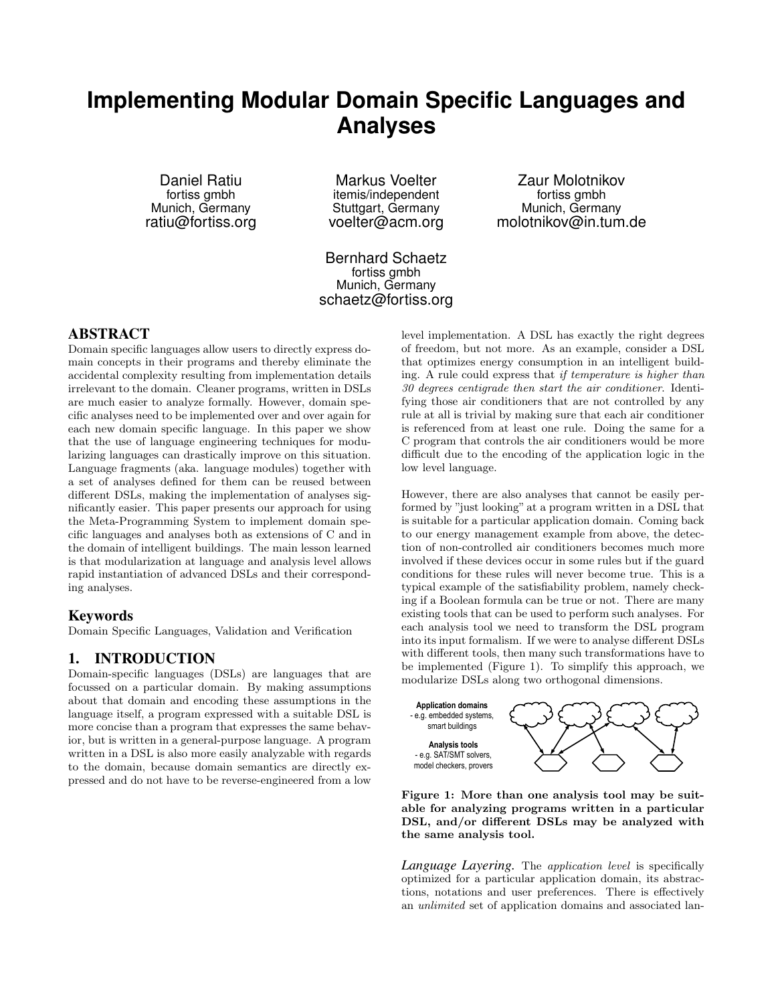# **Implementing Modular Domain Specific Languages and Analyses**

Daniel Ratiu fortiss gmbh Munich, Germany ratiu@fortiss.org

Markus Voelter itemis/independent Stuttgart, Germany voelter@acm.org

Zaur Molotnikov fortiss gmbh Munich, Germany molotnikov@in.tum.de

Bernhard Schaetz fortiss gmbh Munich, Germany schaetz@fortiss.org

# ABSTRACT

Domain specific languages allow users to directly express domain concepts in their programs and thereby eliminate the accidental complexity resulting from implementation details irrelevant to the domain. Cleaner programs, written in DSLs are much easier to analyze formally. However, domain specific analyses need to be implemented over and over again for each new domain specific language. In this paper we show that the use of language engineering techniques for modularizing languages can drastically improve on this situation. Language fragments (aka. language modules) together with a set of analyses defined for them can be reused between different DSLs, making the implementation of analyses significantly easier. This paper presents our approach for using the Meta-Programming System to implement domain specific languages and analyses both as extensions of C and in the domain of intelligent buildings. The main lesson learned is that modularization at language and analysis level allows rapid instantiation of advanced DSLs and their corresponding analyses.

#### Keywords

Domain Specific Languages, Validation and Verification

#### 1. INTRODUCTION

Domain-specific languages (DSLs) are languages that are focussed on a particular domain. By making assumptions about that domain and encoding these assumptions in the language itself, a program expressed with a suitable DSL is more concise than a program that expresses the same behavior, but is written in a general-purpose language. A program written in a DSL is also more easily analyzable with regards to the domain, because domain semantics are directly expressed and do not have to be reverse-engineered from a low

level implementation. A DSL has exactly the right degrees of freedom, but not more. As an example, consider a DSL that optimizes energy consumption in an intelligent building. A rule could express that if temperature is higher than 30 degrees centigrade then start the air conditioner. Identifying those air conditioners that are not controlled by any rule at all is trivial by making sure that each air conditioner is referenced from at least one rule. Doing the same for a C program that controls the air conditioners would be more difficult due to the encoding of the application logic in the low level language.

However, there are also analyses that cannot be easily performed by "just looking" at a program written in a DSL that is suitable for a particular application domain. Coming back to our energy management example from above, the detection of non-controlled air conditioners becomes much more involved if these devices occur in some rules but if the guard conditions for these rules will never become true. This is a typical example of the satisfiability problem, namely checking if a Boolean formula can be true or not. There are many existing tools that can be used to perform such analyses. For each analysis tool we need to transform the DSL program into its input formalism. If we were to analyse different DSLs with different tools, then many such transformations have to be implemented (Figure 1). To simplify this approach, we modularize DSLs along two orthogonal dimensions.



Figure 1: More than one analysis tool may be suitable for analyzing programs written in a particular DSL, and/or different DSLs may be analyzed with the same analysis tool.

*Language Layering.* The application level is specifically optimized for a particular application domain, its abstractions, notations and user preferences. There is effectively an unlimited set of application domains and associated lan-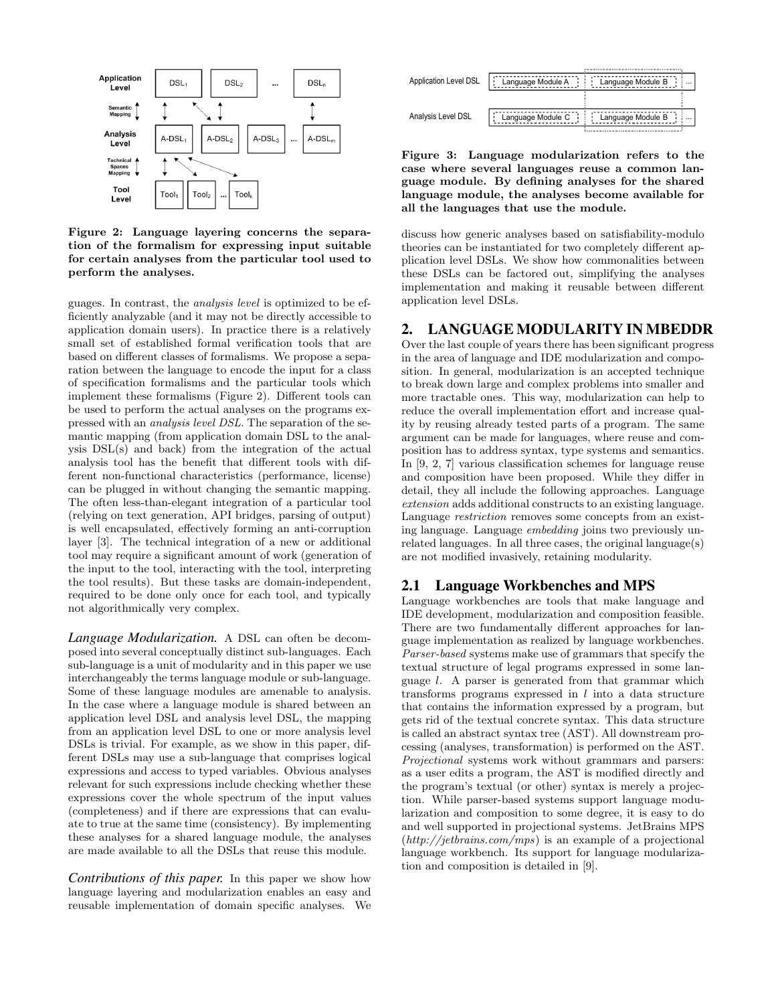

Figure 2: Language layering concerns the separation of the formalism for expressing input suitable for certain analyses from the particular tool used to perform the analyses.

guages. In contrast, the analysis level is optimized to be efficiently analyzable (and it may not be directly accessible to application domain users). In practice there is a relatively small set of established formal verification tools that are based on different classes of formalisms. We propose a separation between the language to encode the input for a class of specification formalisms and the particular tools which implement these formalisms (Figure 2). Different tools can be used to perform the actual analyses on the programs expressed with an analysis level DSL. The separation of the semantic mapping (from application domain DSL to the analysis DSL(s) and back) from the integration of the actual analysis tool has the benefit that different tools with different non-functional characteristics (performance, license) can be plugged in without changing the semantic mapping. The often less-than-elegant integration of a particular tool (relying on text generation, API bridges, parsing of output) is well encapsulated, effectively forming an anti-corruption layer [3]. The technical integration of a new or additional tool may require a significant amount of work (generation of the input to the tool, interacting with the tool, interpreting the tool results). But these tasks are domain-independent, required to be done only once for each tool, and typically not algorithmically very complex.

*Language Modularization.* A DSL can often be decomposed into several conceptually distinct sub-languages. Each sub-language is a unit of modularity and in this paper we use interchangeably the terms language module or sub-language. Some of these language modules are amenable to analysis. In the case where a language module is shared between an application level DSL and analysis level DSL, the mapping from an application level DSL to one or more analysis level DSLs is trivial. For example, as we show in this paper, different DSLs may use a sub-language that comprises logical expressions and access to typed variables. Obvious analyses relevant for such expressions include checking whether these expressions cover the whole spectrum of the input values (completeness) and if there are expressions that can evaluate to true at the same time (consistency). By implementing these analyses for a shared language module, the analyses are made available to all the DSLs that reuse this module.

*Contributions of this paper.* In this paper we show how language layering and modularization enables an easy and reusable implementation of domain specific analyses. We

| Application Level DSL | Language Module A | Language Module B | $\cdots$ |
|-----------------------|-------------------|-------------------|----------|
|                       |                   |                   |          |
| Analysis Level DSL    | Language Module C | Language Module B |          |
|                       |                   |                   |          |

Figure 3: Language modularization refers to the case where several languages reuse a common language module. By defining analyses for the shared language module, the analyses become available for all the languages that use the module.

discuss how generic analyses based on satisfiability-modulo theories can be instantiated for two completely different application level DSLs. We show how commonalities between these DSLs can be factored out, simplifying the analyses implementation and making it reusable between different application level DSLs.

### 2. LANGUAGE MODULARITY IN MBEDDR

Over the last couple of years there has been significant progress in the area of language and IDE modularization and composition. In general, modularization is an accepted technique to break down large and complex problems into smaller and more tractable ones. This way, modularization can help to reduce the overall implementation effort and increase quality by reusing already tested parts of a program. The same argument can be made for languages, where reuse and composition has to address syntax, type systems and semantics. In [9, 2, 7] various classification schemes for language reuse and composition have been proposed. While they differ in detail, they all include the following approaches. Language extension adds additional constructs to an existing language. Language restriction removes some concepts from an existing language. Language embedding joins two previously unrelated languages. In all three cases, the original language(s) are not modified invasively, retaining modularity.

# 2.1 Language Workbenches and MPS

Language workbenches are tools that make language and IDE development, modularization and composition feasible. There are two fundamentally different approaches for language implementation as realized by language workbenches. Parser-based systems make use of grammars that specify the textual structure of legal programs expressed in some language l. A parser is generated from that grammar which transforms programs expressed in  $l$  into a data structure that contains the information expressed by a program, but gets rid of the textual concrete syntax. This data structure is called an abstract syntax tree (AST). All downstream processing (analyses, transformation) is performed on the AST. Projectional systems work without grammars and parsers: as a user edits a program, the AST is modified directly and the program's textual (or other) syntax is merely a projection. While parser-based systems support language modularization and composition to some degree, it is easy to do and well supported in projectional systems. JetBrains MPS  $(http://jet brains.com/mps)$  is an example of a projectional language workbench. Its support for language modularization and composition is detailed in [9].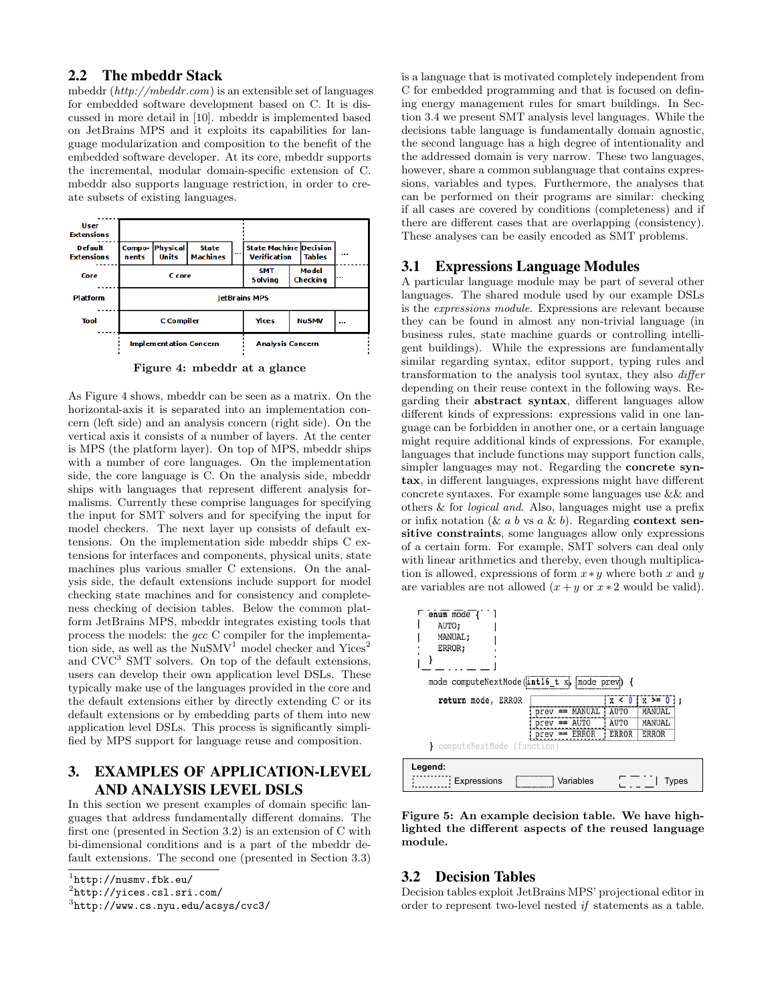# 2.2 The mbeddr Stack

mbeddr (http://mbeddr.com) is an extensible set of languages for embedded software development based on C. It is discussed in more detail in [10]. mbeddr is implemented based on JetBrains MPS and it exploits its capabilities for language modularization and composition to the benefit of the embedded software developer. At its core, mbeddr supports the incremental, modular domain-specific extension of C. mbeddr also supports language restriction, in order to create subsets of existing languages.



Figure 4: mbeddr at a glance

As Figure 4 shows, mbeddr can be seen as a matrix. On the horizontal-axis it is separated into an implementation concern (left side) and an analysis concern (right side). On the vertical axis it consists of a number of layers. At the center is MPS (the platform layer). On top of MPS, mbeddr ships with a number of core languages. On the implementation side, the core language is C. On the analysis side, mbeddr ships with languages that represent different analysis formalisms. Currently these comprise languages for specifying the input for SMT solvers and for specifying the input for model checkers. The next layer up consists of default extensions. On the implementation side mbeddr ships C extensions for interfaces and components, physical units, state machines plus various smaller C extensions. On the analysis side, the default extensions include support for model checking state machines and for consistency and completeness checking of decision tables. Below the common platform JetBrains MPS, mbeddr integrates existing tools that process the models: the gcc C compiler for the implementation side, as well as the  $NuSMV<sup>1</sup>$  model checker and Yices<sup>2</sup> and CVC<sup>3</sup> SMT solvers. On top of the default extensions, users can develop their own application level DSLs. These typically make use of the languages provided in the core and the default extensions either by directly extending C or its default extensions or by embedding parts of them into new application level DSLs. This process is significantly simplified by MPS support for language reuse and composition.

# 3. EXAMPLES OF APPLICATION-LEVEL AND ANALYSIS LEVEL DSLS

In this section we present examples of domain specific languages that address fundamentally different domains. The first one (presented in Section 3.2) is an extension of C with bi-dimensional conditions and is a part of the mbeddr default extensions. The second one (presented in Section 3.3)

is a language that is motivated completely independent from C for embedded programming and that is focused on defining energy management rules for smart buildings. In Section 3.4 we present SMT analysis level languages. While the decisions table language is fundamentally domain agnostic, the second language has a high degree of intentionality and the addressed domain is very narrow. These two languages, however, share a common sublanguage that contains expressions, variables and types. Furthermore, the analyses that can be performed on their programs are similar: checking if all cases are covered by conditions (completeness) and if there are different cases that are overlapping (consistency). These analyses can be easily encoded as SMT problems.

# 3.1 Expressions Language Modules

A particular language module may be part of several other languages. The shared module used by our example DSLs is the expressions module. Expressions are relevant because they can be found in almost any non-trivial language (in business rules, state machine guards or controlling intelligent buildings). While the expressions are fundamentally similar regarding syntax, editor support, typing rules and transformation to the analysis tool syntax, they also differ depending on their reuse context in the following ways. Regarding their abstract syntax, different languages allow different kinds of expressions: expressions valid in one language can be forbidden in another one, or a certain language might require additional kinds of expressions. For example, languages that include functions may support function calls, simpler languages may not. Regarding the concrete syntax, in different languages, expressions might have different concrete syntaxes. For example some languages use && and others & for logical and. Also, languages might use a prefix or infix notation ( $\& a b$  vs  $a \& b$ ). Regarding **context sen**sitive constraints, some languages allow only expressions of a certain form. For example, SMT solvers can deal only with linear arithmetics and thereby, even though multiplication is allowed, expressions of form  $x \ast y$  where both x and y are variables are not allowed  $(x + y \text{ or } x * 2 \text{ would be valid}).$ 



Figure 5: An example decision table. We have highlighted the different aspects of the reused language module.

# 3.2 Decision Tables

Decision tables exploit JetBrains MPS' projectional editor in order to represent two-level nested if statements as a table.

<sup>1</sup> http://nusmv.fbk.eu/

<sup>2</sup> http://yices.csl.sri.com/

<sup>3</sup> http://www.cs.nyu.edu/acsys/cvc3/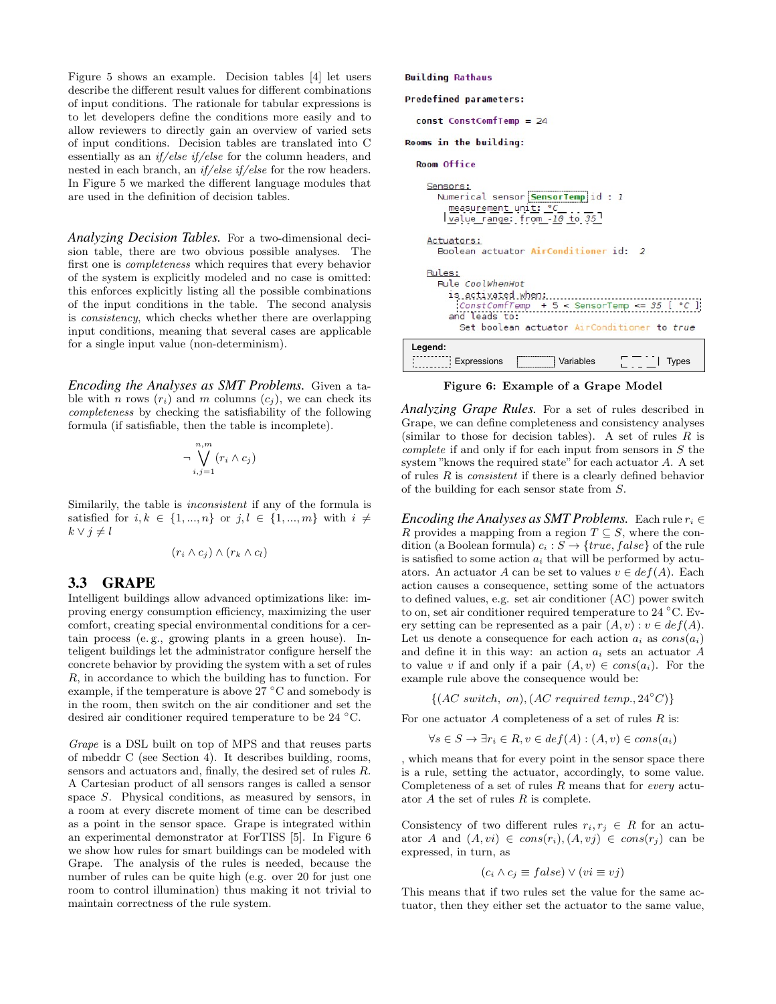Figure 5 shows an example. Decision tables [4] let users describe the different result values for different combinations of input conditions. The rationale for tabular expressions is to let developers define the conditions more easily and to allow reviewers to directly gain an overview of varied sets of input conditions. Decision tables are translated into C essentially as an *if/else if/else* for the column headers, and nested in each branch, an  $if/else$  if/else for the row headers. In Figure 5 we marked the different language modules that are used in the definition of decision tables.

*Analyzing Decision Tables.* For a two-dimensional decision table, there are two obvious possible analyses. The first one is completeness which requires that every behavior of the system is explicitly modeled and no case is omitted: this enforces explicitly listing all the possible combinations of the input conditions in the table. The second analysis is consistency, which checks whether there are overlapping input conditions, meaning that several cases are applicable for a single input value (non-determinism).

*Encoding the Analyses as SMT Problems.* Given a table with n rows  $(r_i)$  and m columns  $(c_j)$ , we can check its completeness by checking the satisfiability of the following formula (if satisfiable, then the table is incomplete).

$$
\neg \bigvee_{i,j=1}^{n,m} (r_i \wedge c_j)
$$

Similarily, the table is inconsistent if any of the formula is satisfied for  $i, k \in \{1, ..., n\}$  or  $j, l \in \{1, ..., m\}$  with  $i \neq$  $k \vee j \neq l$ 

$$
(r_i \wedge c_j) \wedge (r_k \wedge c_l)
$$

#### 3.3 GRAPE

Intelligent buildings allow advanced optimizations like: improving energy consumption efficiency, maximizing the user comfort, creating special environmental conditions for a certain process (e. g., growing plants in a green house). Inteligent buildings let the administrator configure herself the concrete behavior by providing the system with a set of rules R, in accordance to which the building has to function. For example, if the temperature is above 27 ◦C and somebody is in the room, then switch on the air conditioner and set the desired air conditioner required temperature to be 24 ◦C.

Grape is a DSL built on top of MPS and that reuses parts of mbeddr C (see Section 4). It describes building, rooms, sensors and actuators and, finally, the desired set of rules R. A Cartesian product of all sensors ranges is called a sensor space S. Physical conditions, as measured by sensors, in a room at every discrete moment of time can be described as a point in the sensor space. Grape is integrated within an experimental demonstrator at ForTISS [5]. In Figure 6 we show how rules for smart buildings can be modeled with Grape. The analysis of the rules is needed, because the number of rules can be quite high (e.g. over 20 for just one room to control illumination) thus making it not trivial to maintain correctness of the rule system.

#### **Building Rathaus**

Predefined parameters:

```
const ConstComfTemp = 24
```
Rooms in the building:

```
Room Office
   Sensors:
     Numerical sensor SensorTemp id : 1
       measurement unit: "C
      value range: from -10 to 35
   Actuators:
     Boolean actuator AirConditioner id: 2
   Rules:
     Rule CoolWhenHot
       is activated when: .....................
       Const ComfTemp + 5 < SensorTemp <= 35 [ ^{\circ}C ]:<br>and leads to:
         Set boolean actuator AirConditioner to true
Legend:
Expressions
                              Variables \Gamma<sup>-1</sup> | Types
```
Figure 6: Example of a Grape Model

*Analyzing Grape Rules.* For a set of rules described in Grape, we can define completeness and consistency analyses (similar to those for decision tables). A set of rules  $R$  is  $complete$  if and only if for each input from sensors in  $S$  the system "knows the required state" for each actuator A. A set of rules  $R$  is *consistent* if there is a clearly defined behavior of the building for each sensor state from S.

*Encoding the Analyses as SMT Problems.* Each rule  $r_i \in$ R provides a mapping from a region  $T \subseteq S$ , where the condition (a Boolean formula)  $c_i : S \to \{true, false\}$  of the rule is satisfied to some action  $a_i$  that will be performed by actuators. An actuator A can be set to values  $v \in def(A)$ . Each action causes a consequence, setting some of the actuators to defined values, e.g. set air conditioner (AC) power switch to on, set air conditioner required temperature to 24 ◦C. Every setting can be represented as a pair  $(A, v) : v \in def(A)$ . Let us denote a consequence for each action  $a_i$  as  $cons(a_i)$ and define it in this way: an action  $a_i$  sets an actuator A to value v if and only if a pair  $(A, v) \in cons(a_i)$ . For the example rule above the consequence would be:

 $\{(AC\ switch, on), (AC\ required\ temp., 24°C)\}\$ 

For one actuator  $A$  completeness of a set of rules  $R$  is:

$$
\forall s \in S \to \exists r_i \in R, v \in def(A) : (A, v) \in cons(a_i)
$$

, which means that for every point in the sensor space there is a rule, setting the actuator, accordingly, to some value. Completeness of a set of rules R means that for every actuator A the set of rules R is complete.

Consistency of two different rules  $r_i, r_j \in R$  for an actuator A and  $(A, vi) \in cons(r_i), (A, v_j) \in cons(r_j)$  can be expressed, in turn, as

$$
(c_i \land c_j \equiv false) \lor (vi \equiv vj)
$$

This means that if two rules set the value for the same actuator, then they either set the actuator to the same value,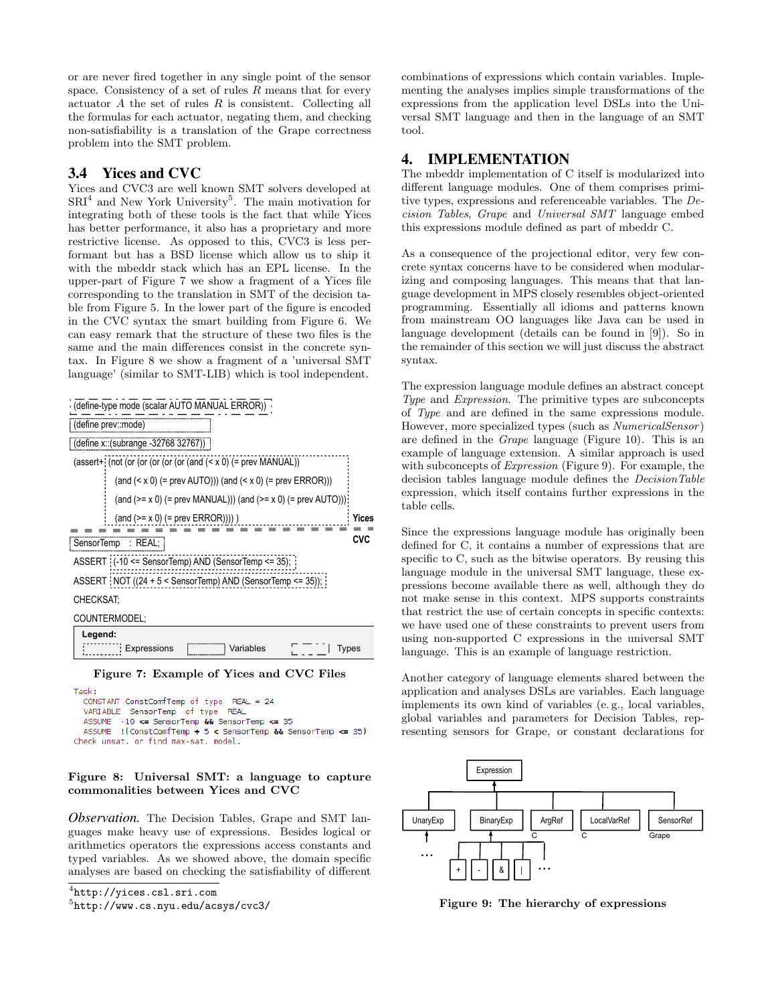or are never fired together in any single point of the sensor space. Consistency of a set of rules  $R$  means that for every actuator  $A$  the set of rules  $R$  is consistent. Collecting all the formulas for each actuator, negating them, and checking non-satisfiability is a translation of the Grape correctness problem into the SMT problem.

#### 3.4 Yices and CVC

Yices and CVC3 are well known SMT solvers developed at SRI<sup>4</sup> and New York University<sup>5</sup>. The main motivation for integrating both of these tools is the fact that while Yices has better performance, it also has a proprietary and more restrictive license. As opposed to this, CVC3 is less performant but has a BSD license which allow us to ship it with the mbeddr stack which has an EPL license. In the upper-part of Figure 7 we show a fragment of a Yices file corresponding to the translation in SMT of the decision table from Figure 5. In the lower part of the figure is encoded in the CVC syntax the smart building from Figure 6. We can easy remark that the structure of these two files is the same and the main differences consist in the concrete syntax. In Figure 8 we show a fragment of a 'universal SMT language' (similar to SMT-LIB) which is tool independent.



Figure 7: Example of Yices and CVC Files

Task: CONSTANT ConstComfTemp of type REAL = 24 VARIABLE SensorTemp of type REAL ASSUME -10 <= SensorTemp && SensorTemp <= 35 ASSUME !(ConstComfTemp + 5 < SensorTemp && SensorTemp <= 35) Check unsat, or find max-sat, model.

#### Figure 8: Universal SMT: a language to capture commonalities between Yices and CVC

*Observation.* The Decision Tables, Grape and SMT languages make heavy use of expressions. Besides logical or arithmetics operators the expressions access constants and typed variables. As we showed above, the domain specific analyses are based on checking the satisfiability of different

combinations of expressions which contain variables. Implementing the analyses implies simple transformations of the expressions from the application level DSLs into the Universal SMT language and then in the language of an SMT tool.

### 4. IMPLEMENTATION

The mbeddr implementation of C itself is modularized into different language modules. One of them comprises primitive types, expressions and referenceable variables. The Decision Tables, Grape and Universal SMT language embed this expressions module defined as part of mbeddr C.

As a consequence of the projectional editor, very few concrete syntax concerns have to be considered when modularizing and composing languages. This means that that language development in MPS closely resembles object-oriented programming. Essentially all idioms and patterns known from mainstream OO languages like Java can be used in language development (details can be found in [9]). So in the remainder of this section we will just discuss the abstract syntax.

The expression language module defines an abstract concept Type and Expression. The primitive types are subconcepts of Type and are defined in the same expressions module. However, more specialized types (such as NumericalSensor ) are defined in the Grape language (Figure 10). This is an example of language extension. A similar approach is used with subconcepts of Expression (Figure 9). For example, the decision tables language module defines the DecisionTable expression, which itself contains further expressions in the table cells.

Since the expressions language module has originally been defined for C, it contains a number of expressions that are specific to C, such as the bitwise operators. By reusing this language module in the universal SMT language, these expressions become available there as well, although they do not make sense in this context. MPS supports constraints that restrict the use of certain concepts in specific contexts: we have used one of these constraints to prevent users from using non-supported C expressions in the universal SMT language. This is an example of language restriction.

Another category of language elements shared between the application and analyses DSLs are variables. Each language implements its own kind of variables (e. g., local variables, global variables and parameters for Decision Tables, representing sensors for Grape, or constant declarations for



Figure 9: The hierarchy of expressions

<sup>4</sup> http://yices.csl.sri.com

<sup>5</sup> http://www.cs.nyu.edu/acsys/cvc3/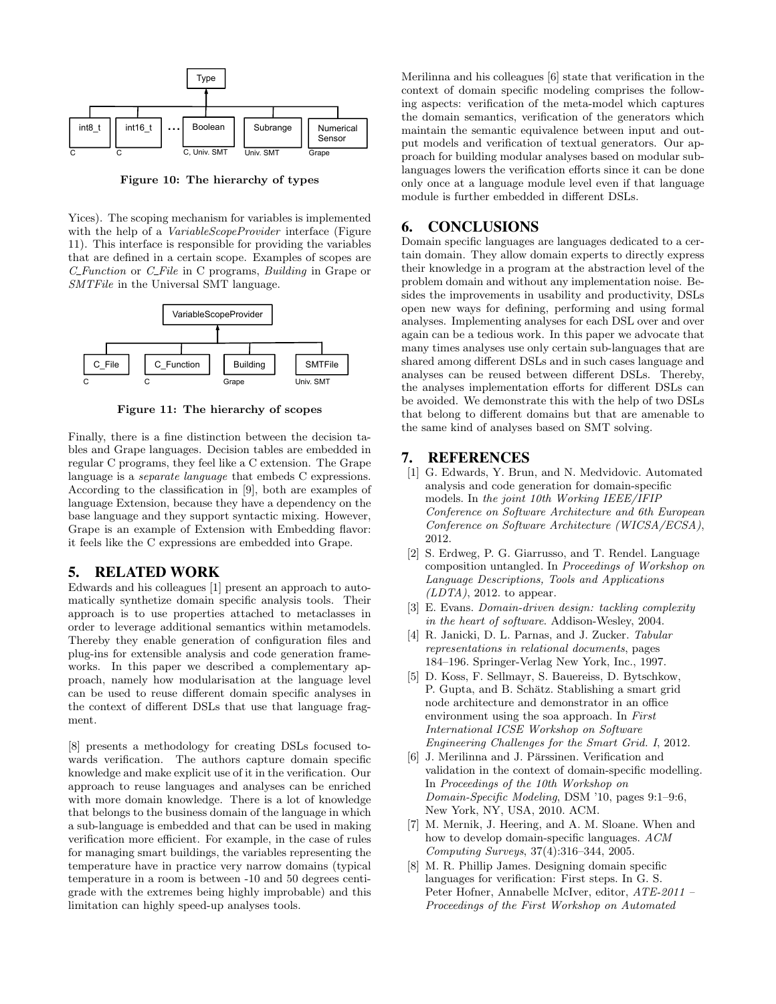

Figure 10: The hierarchy of types

Yices). The scoping mechanism for variables is implemented with the help of a *VariableScopeProvider* interface (Figure 11). This interface is responsible for providing the variables that are defined in a certain scope. Examples of scopes are C Function or C File in C programs, Building in Grape or SMTFile in the Universal SMT language.



Figure 11: The hierarchy of scopes

Finally, there is a fine distinction between the decision tables and Grape languages. Decision tables are embedded in regular C programs, they feel like a C extension. The Grape language is a separate language that embeds C expressions. According to the classification in [9], both are examples of language Extension, because they have a dependency on the base language and they support syntactic mixing. However, Grape is an example of Extension with Embedding flavor: it feels like the C expressions are embedded into Grape.

#### 5. RELATED WORK

Edwards and his colleagues [1] present an approach to automatically synthetize domain specific analysis tools. Their approach is to use properties attached to metaclasses in order to leverage additional semantics within metamodels. Thereby they enable generation of configuration files and plug-ins for extensible analysis and code generation frameworks. In this paper we described a complementary approach, namely how modularisation at the language level can be used to reuse different domain specific analyses in the context of different DSLs that use that language fragment.

[8] presents a methodology for creating DSLs focused towards verification. The authors capture domain specific knowledge and make explicit use of it in the verification. Our approach to reuse languages and analyses can be enriched with more domain knowledge. There is a lot of knowledge that belongs to the business domain of the language in which a sub-language is embedded and that can be used in making verification more efficient. For example, in the case of rules for managing smart buildings, the variables representing the temperature have in practice very narrow domains (typical temperature in a room is between -10 and 50 degrees centigrade with the extremes being highly improbable) and this limitation can highly speed-up analyses tools.

Merilinna and his colleagues [6] state that verification in the context of domain specific modeling comprises the following aspects: verification of the meta-model which captures the domain semantics, verification of the generators which maintain the semantic equivalence between input and output models and verification of textual generators. Our approach for building modular analyses based on modular sublanguages lowers the verification efforts since it can be done only once at a language module level even if that language module is further embedded in different DSLs.

# 6. CONCLUSIONS

Domain specific languages are languages dedicated to a certain domain. They allow domain experts to directly express their knowledge in a program at the abstraction level of the problem domain and without any implementation noise. Besides the improvements in usability and productivity, DSLs open new ways for defining, performing and using formal analyses. Implementing analyses for each DSL over and over again can be a tedious work. In this paper we advocate that many times analyses use only certain sub-languages that are shared among different DSLs and in such cases language and analyses can be reused between different DSLs. Thereby, the analyses implementation efforts for different DSLs can be avoided. We demonstrate this with the help of two DSLs that belong to different domains but that are amenable to the same kind of analyses based on SMT solving.

#### 7. REFERENCES

- [1] G. Edwards, Y. Brun, and N. Medvidovic. Automated analysis and code generation for domain-specific models. In the joint 10th Working IEEE/IFIP Conference on Software Architecture and 6th European Conference on Software Architecture (WICSA/ECSA), 2012.
- [2] S. Erdweg, P. G. Giarrusso, and T. Rendel. Language composition untangled. In Proceedings of Workshop on Language Descriptions, Tools and Applications  $(LDTA)$ , 2012. to appear.
- [3] E. Evans. Domain-driven design: tackling complexity in the heart of software. Addison-Wesley, 2004.
- [4] R. Janicki, D. L. Parnas, and J. Zucker. Tabular representations in relational documents, pages 184–196. Springer-Verlag New York, Inc., 1997.
- [5] D. Koss, F. Sellmayr, S. Bauereiss, D. Bytschkow, P. Gupta, and B. Schätz. Stablishing a smart grid node architecture and demonstrator in an office environment using the soa approach. In First International ICSE Workshop on Software Engineering Challenges for the Smart Grid. I, 2012.
- [6] J. Merilinna and J. Pärssinen. Verification and validation in the context of domain-specific modelling. In Proceedings of the 10th Workshop on Domain-Specific Modeling, DSM '10, pages 9:1–9:6, New York, NY, USA, 2010. ACM.
- [7] M. Mernik, J. Heering, and A. M. Sloane. When and how to develop domain-specific languages. ACM Computing Surveys, 37(4):316–344, 2005.
- [8] M. R. Phillip James. Designing domain specific languages for verification: First steps. In G. S. Peter Hofner, Annabelle McIver, editor, ATE-2011 – Proceedings of the First Workshop on Automated